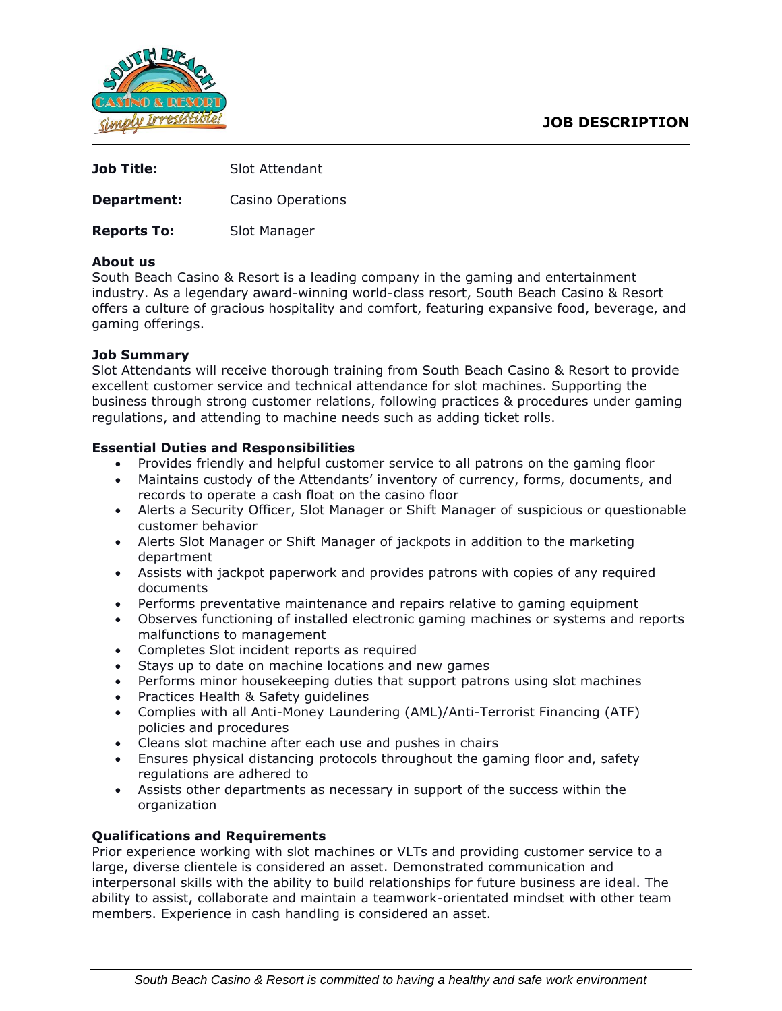# **JOB DESCRIPTION**



| <b>Job Title:</b>  | Slot Attendant    |
|--------------------|-------------------|
| Department:        | Casino Operations |
| <b>Reports To:</b> | Slot Manager      |

### **About us**

South Beach Casino & Resort is a leading company in the gaming and entertainment industry. As a legendary award-winning world-class resort, South Beach Casino & Resort offers a culture of gracious hospitality and comfort, featuring expansive food, beverage, and gaming offerings.

### **Job Summary**

Slot Attendants will receive thorough training from South Beach Casino & Resort to provide excellent customer service and technical attendance for slot machines. Supporting the business through strong customer relations, following practices & procedures under gaming regulations, and attending to machine needs such as adding ticket rolls.

### **Essential Duties and Responsibilities**

- Provides friendly and helpful customer service to all patrons on the gaming floor
- Maintains custody of the Attendants' inventory of currency, forms, documents, and records to operate a cash float on the casino floor
- Alerts a Security Officer, Slot Manager or Shift Manager of suspicious or questionable customer behavior
- Alerts Slot Manager or Shift Manager of jackpots in addition to the marketing department
- Assists with jackpot paperwork and provides patrons with copies of any required documents
- Performs preventative maintenance and repairs relative to gaming equipment
- Observes functioning of installed electronic gaming machines or systems and reports malfunctions to management
- Completes Slot incident reports as required
- Stays up to date on machine locations and new games
- Performs minor housekeeping duties that support patrons using slot machines
- Practices Health & Safety guidelines
- Complies with all Anti-Money Laundering (AML)/Anti-Terrorist Financing (ATF) policies and procedures
- Cleans slot machine after each use and pushes in chairs
- Ensures physical distancing protocols throughout the gaming floor and, safety regulations are adhered to
- Assists other departments as necessary in support of the success within the organization

## **Qualifications and Requirements**

Prior experience working with slot machines or VLTs and providing customer service to a large, diverse clientele is considered an asset. Demonstrated communication and interpersonal skills with the ability to build relationships for future business are ideal. The ability to assist, collaborate and maintain a teamwork-orientated mindset with other team members. Experience in cash handling is considered an asset.